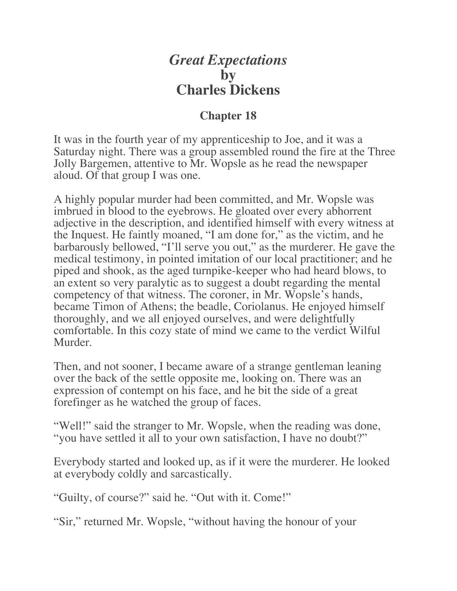## *Great Expectations* **by Charles Dickens**

## **Chapter 18**

It was in the fourth year of my apprenticeship to Joe, and it was a Saturday night. There was a group assembled round the fire at the Three Jolly Bargemen, attentive to Mr. Wopsle as he read the newspaper aloud. Of that group I was one.

A highly popular murder had been committed, and Mr. Wopsle was imbrued in blood to the eyebrows. He gloated over every abhorrent adjective in the description, and identified himself with every witness at the Inquest. He faintly moaned, "I am done for," as the victim, and he barbarously bellowed, "I'll serve you out," as the murderer. He gave the medical testimony, in pointed imitation of our local practitioner; and he piped and shook, as the aged turnpike-keeper who had heard blows, to an extent so very paralytic as to suggest a doubt regarding the mental competency of that witness. The coroner, in Mr. Wopsle's hands, became Timon of Athens; the beadle, Coriolanus. He enjoyed himself thoroughly, and we all enjoyed ourselves, and were delightfully comfortable. In this cozy state of mind we came to the verdict Wilful Murder.

Then, and not sooner, I became aware of a strange gentleman leaning over the back of the settle opposite me, looking on. There was an expression of contempt on his face, and he bit the side of a great forefinger as he watched the group of faces.

"Well!" said the stranger to Mr. Wopsle, when the reading was done, "you have settled it all to your own satisfaction, I have no doubt?"

Everybody started and looked up, as if it were the murderer. He looked at everybody coldly and sarcastically.

"Guilty, of course?" said he. "Out with it. Come!"

"Sir," returned Mr. Wopsle, "without having the honour of your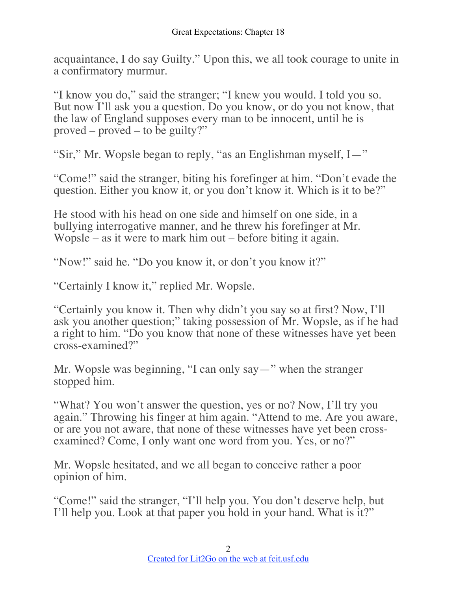acquaintance, I do say Guilty." Upon this, we all took courage to unite in a confirmatory murmur.

"I know you do," said the stranger; "I knew you would. I told you so. But now I'll ask you a question. Do you know, or do you not know, that the law of England supposes every man to be innocent, until he is proved – proved – to be guilty?"

"Sir," Mr. Wopsle began to reply, "as an Englishman myself, I—"

"Come!" said the stranger, biting his forefinger at him. "Don't evade the question. Either you know it, or you don't know it. Which is it to be?"

He stood with his head on one side and himself on one side, in a bullying interrogative manner, and he threw his forefinger at Mr. Wopsle – as it were to mark him out – before biting it again.

"Now!" said he. "Do you know it, or don't you know it?"

"Certainly I know it," replied Mr. Wopsle.

"Certainly you know it. Then why didn't you say so at first? Now, I'll ask you another question;" taking possession of Mr. Wopsle, as if he had a right to him. "Do you know that none of these witnesses have yet been cross-examined?"

Mr. Wopsle was beginning, "I can only say—" when the stranger stopped him.

"What? You won't answer the question, yes or no? Now, I'll try you again." Throwing his finger at him again. "Attend to me. Are you aware, or are you not aware, that none of these witnesses have yet been crossexamined? Come, I only want one word from you. Yes, or no?"

Mr. Wopsle hesitated, and we all began to conceive rather a poor opinion of him.

"Come!" said the stranger, "I'll help you. You don't deserve help, but I'll help you. Look at that paper you hold in your hand. What is it?"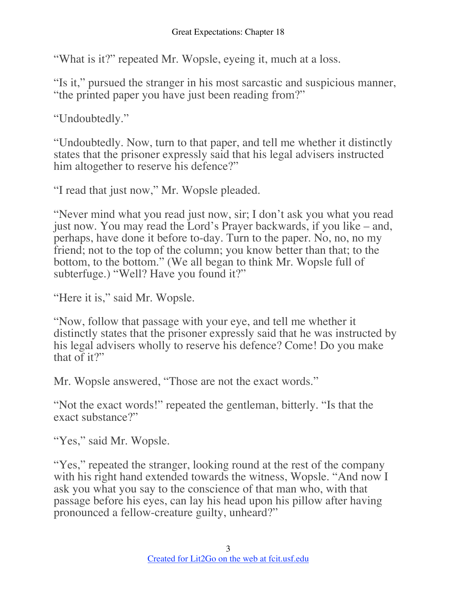"What is it?" repeated Mr. Wopsle, eyeing it, much at a loss.

"Is it," pursued the stranger in his most sarcastic and suspicious manner, "the printed paper you have just been reading from?"

"Undoubtedly."

"Undoubtedly. Now, turn to that paper, and tell me whether it distinctly states that the prisoner expressly said that his legal advisers instructed him altogether to reserve his defence?"

"I read that just now," Mr. Wopsle pleaded.

"Never mind what you read just now, sir; I don't ask you what you read just now. You may read the Lord's Prayer backwards, if you like – and, perhaps, have done it before to-day. Turn to the paper. No, no, no my friend; not to the top of the column; you know better than that; to the bottom, to the bottom." (We all began to think Mr. Wopsle full of subterfuge.) "Well? Have you found it?"

"Here it is," said Mr. Wopsle.

"Now, follow that passage with your eye, and tell me whether it distinctly states that the prisoner expressly said that he was instructed by his legal advisers wholly to reserve his defence? Come! Do you make that of it?"

Mr. Wopsle answered, "Those are not the exact words."

"Not the exact words!" repeated the gentleman, bitterly. "Is that the exact substance?"

"Yes," said Mr. Wopsle.

"Yes," repeated the stranger, looking round at the rest of the company with his right hand extended towards the witness, Wopsle. "And now I ask you what you say to the conscience of that man who, with that passage before his eyes, can lay his head upon his pillow after having pronounced a fellow-creature guilty, unheard?"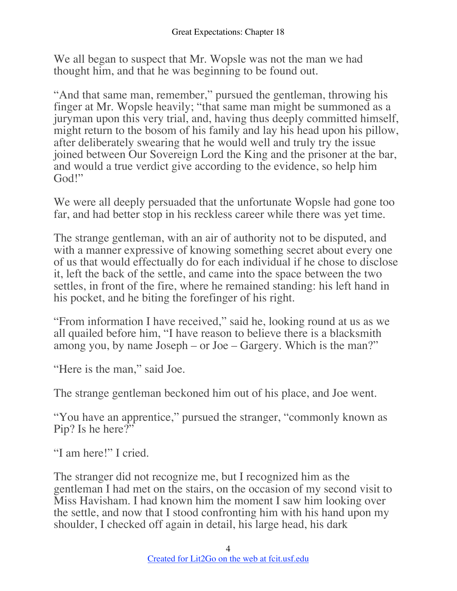We all began to suspect that Mr. Wopsle was not the man we had thought him, and that he was beginning to be found out.

"And that same man, remember," pursued the gentleman, throwing his finger at Mr. Wopsle heavily; "that same man might be summoned as a juryman upon this very trial, and, having thus deeply committed himself, might return to the bosom of his family and lay his head upon his pillow, after deliberately swearing that he would well and truly try the issue joined between Our Sovereign Lord the King and the prisoner at the bar, and would a true verdict give according to the evidence, so help him God!"

We were all deeply persuaded that the unfortunate Wopsle had gone too far, and had better stop in his reckless career while there was yet time.

The strange gentleman, with an air of authority not to be disputed, and with a manner expressive of knowing something secret about every one of us that would effectually do for each individual if he chose to disclose it, left the back of the settle, and came into the space between the two settles, in front of the fire, where he remained standing: his left hand in his pocket, and he biting the forefinger of his right.

"From information I have received," said he, looking round at us as we all quailed before him, "I have reason to believe there is a blacksmith among you, by name Joseph – or Joe – Gargery. Which is the man?"

"Here is the man," said Joe.

The strange gentleman beckoned him out of his place, and Joe went.

"You have an apprentice," pursued the stranger, "commonly known as Pip? Is he here?"

"I am here!" I cried.

The stranger did not recognize me, but I recognized him as the gentleman I had met on the stairs, on the occasion of my second visit to Miss Havisham. I had known him the moment I saw him looking over the settle, and now that I stood confronting him with his hand upon my shoulder, I checked off again in detail, his large head, his dark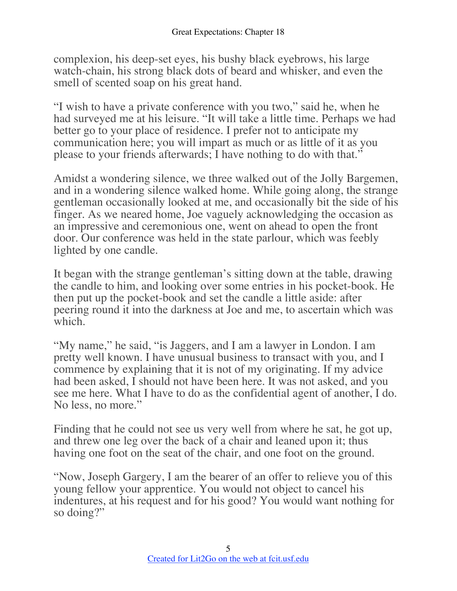complexion, his deep-set eyes, his bushy black eyebrows, his large watch-chain, his strong black dots of beard and whisker, and even the smell of scented soap on his great hand.

"I wish to have a private conference with you two," said he, when he had surveyed me at his leisure. "It will take a little time. Perhaps we had better go to your place of residence. I prefer not to anticipate my communication here; you will impart as much or as little of it as you please to your friends afterwards; I have nothing to do with that."

Amidst a wondering silence, we three walked out of the Jolly Bargemen, and in a wondering silence walked home. While going along, the strange gentleman occasionally looked at me, and occasionally bit the side of his finger. As we neared home, Joe vaguely acknowledging the occasion as an impressive and ceremonious one, went on ahead to open the front door. Our conference was held in the state parlour, which was feebly lighted by one candle.

It began with the strange gentleman's sitting down at the table, drawing the candle to him, and looking over some entries in his pocket-book. He then put up the pocket-book and set the candle a little aside: after peering round it into the darkness at Joe and me, to ascertain which was which.

"My name," he said, "is Jaggers, and I am a lawyer in London. I am pretty well known. I have unusual business to transact with you, and I commence by explaining that it is not of my originating. If my advice had been asked, I should not have been here. It was not asked, and you see me here. What I have to do as the confidential agent of another, I do. No less, no more."

Finding that he could not see us very well from where he sat, he got up, and threw one leg over the back of a chair and leaned upon it; thus having one foot on the seat of the chair, and one foot on the ground.

"Now, Joseph Gargery, I am the bearer of an offer to relieve you of this young fellow your apprentice. You would not object to cancel his indentures, at his request and for his good? You would want nothing for so doing?"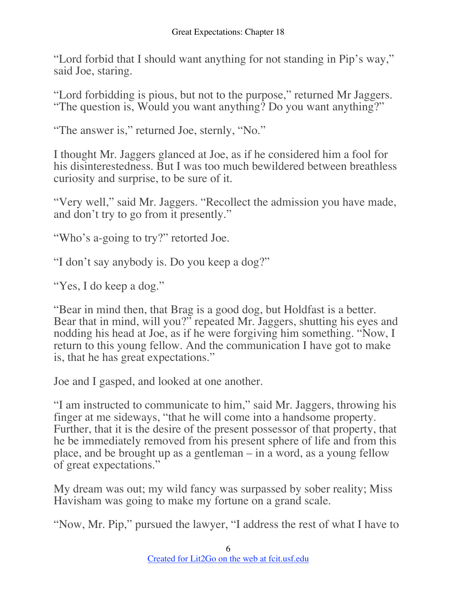"Lord forbid that I should want anything for not standing in Pip's way," said Joe, staring.

"Lord forbidding is pious, but not to the purpose," returned Mr Jaggers. "The question is, Would you want anything? Do you want anything?"

"The answer is," returned Joe, sternly, "No."

I thought Mr. Jaggers glanced at Joe, as if he considered him a fool for his disinterestedness. But I was too much bewildered between breathless curiosity and surprise, to be sure of it.

"Very well," said Mr. Jaggers. "Recollect the admission you have made, and don't try to go from it presently."

"Who's a-going to try?" retorted Joe.

"I don't say anybody is. Do you keep a dog?"

"Yes, I do keep a dog."

"Bear in mind then, that Brag is a good dog, but Holdfast is a better. Bear that in mind, will you?" repeated Mr. Jaggers, shutting his eyes and nodding his head at Joe, as if he were forgiving him something. "Now, I return to this young fellow. And the communication I have got to make is, that he has great expectations."

Joe and I gasped, and looked at one another.

"I am instructed to communicate to him," said Mr. Jaggers, throwing his finger at me sideways, "that he will come into a handsome property. Further, that it is the desire of the present possessor of that property, that he be immediately removed from his present sphere of life and from this place, and be brought up as a gentleman – in a word, as a young fellow of great expectations."

My dream was out; my wild fancy was surpassed by sober reality; Miss Havisham was going to make my fortune on a grand scale.

"Now, Mr. Pip," pursued the lawyer, "I address the rest of what I have to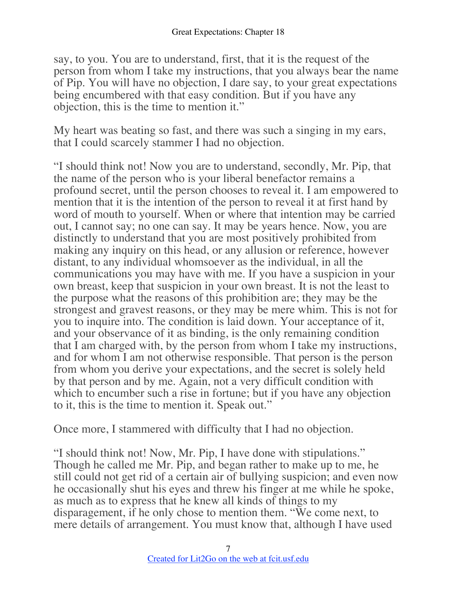say, to you. You are to understand, first, that it is the request of the person from whom I take my instructions, that you always bear the name of Pip. You will have no objection, I dare say, to your great expectations being encumbered with that easy condition. But if you have any objection, this is the time to mention it."

My heart was beating so fast, and there was such a singing in my ears, that I could scarcely stammer I had no objection.

"I should think not! Now you are to understand, secondly, Mr. Pip, that the name of the person who is your liberal benefactor remains a profound secret, until the person chooses to reveal it. I am empowered to mention that it is the intention of the person to reveal it at first hand by word of mouth to yourself. When or where that intention may be carried out, I cannot say; no one can say. It may be years hence. Now, you are distinctly to understand that you are most positively prohibited from making any inquiry on this head, or any allusion or reference, however distant, to any individual whomsoever as the individual, in all the communications you may have with me. If you have a suspicion in your own breast, keep that suspicion in your own breast. It is not the least to the purpose what the reasons of this prohibition are; they may be the strongest and gravest reasons, or they may be mere whim. This is not for you to inquire into. The condition is laid down. Your acceptance of it, and your observance of it as binding, is the only remaining condition that I am charged with, by the person from whom I take my instructions, and for whom I am not otherwise responsible. That person is the person from whom you derive your expectations, and the secret is solely held by that person and by me. Again, not a very difficult condition with which to encumber such a rise in fortune; but if you have any objection to it, this is the time to mention it. Speak out."

Once more, I stammered with difficulty that I had no objection.

"I should think not! Now, Mr. Pip, I have done with stipulations." Though he called me Mr. Pip, and began rather to make up to me, he still could not get rid of a certain air of bullying suspicion; and even now he occasionally shut his eyes and threw his finger at me while he spoke, as much as to express that he knew all kinds of things to my disparagement, if he only chose to mention them. "We come next, to mere details of arrangement. You must know that, although I have used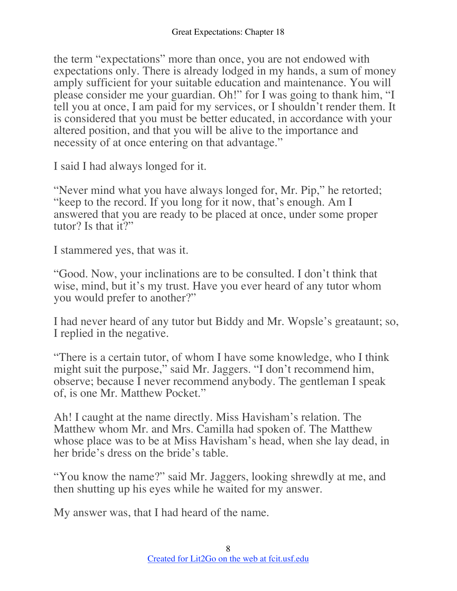the term "expectations" more than once, you are not endowed with expectations only. There is already lodged in my hands, a sum of money amply sufficient for your suitable education and maintenance. You will please consider me your guardian. Oh!" for I was going to thank him, "I tell you at once, I am paid for my services, or I shouldn't render them. It is considered that you must be better educated, in accordance with your altered position, and that you will be alive to the importance and necessity of at once entering on that advantage."

I said I had always longed for it.

"Never mind what you have always longed for, Mr. Pip," he retorted; "keep to the record. If you long for it now, that's enough. Am I answered that you are ready to be placed at once, under some proper tutor? Is that it?"

I stammered yes, that was it.

"Good. Now, your inclinations are to be consulted. I don't think that wise, mind, but it's my trust. Have you ever heard of any tutor whom you would prefer to another?"

I had never heard of any tutor but Biddy and Mr. Wopsle's greataunt; so, I replied in the negative.

"There is a certain tutor, of whom I have some knowledge, who I think might suit the purpose," said Mr. Jaggers. "I don't recommend him, observe; because I never recommend anybody. The gentleman I speak of, is one Mr. Matthew Pocket."

Ah! I caught at the name directly. Miss Havisham's relation. The Matthew whom Mr. and Mrs. Camilla had spoken of. The Matthew whose place was to be at Miss Havisham's head, when she lay dead, in her bride's dress on the bride's table.

"You know the name?" said Mr. Jaggers, looking shrewdly at me, and then shutting up his eyes while he waited for my answer.

My answer was, that I had heard of the name.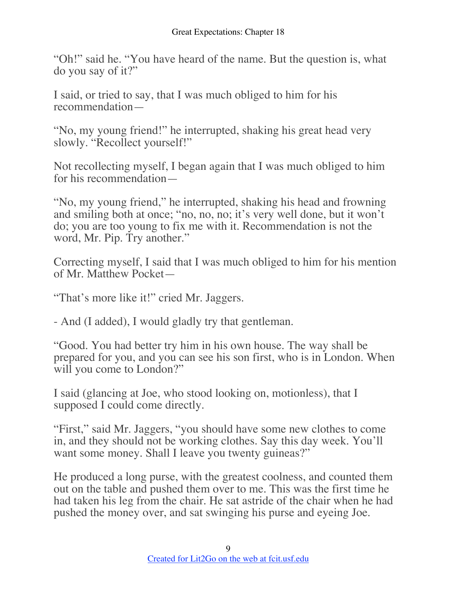"Oh!" said he. "You have heard of the name. But the question is, what do you say of it?"

I said, or tried to say, that I was much obliged to him for his recommendation—

"No, my young friend!" he interrupted, shaking his great head very slowly. "Recollect yourself!"

Not recollecting myself, I began again that I was much obliged to him for his recommendation—

"No, my young friend," he interrupted, shaking his head and frowning and smiling both at once; "no, no, no; it's very well done, but it won't do; you are too young to fix me with it. Recommendation is not the word, Mr. Pip. Try another."

Correcting myself, I said that I was much obliged to him for his mention of Mr. Matthew Pocket—

"That's more like it!" cried Mr. Jaggers.

- And (I added), I would gladly try that gentleman.

"Good. You had better try him in his own house. The way shall be prepared for you, and you can see his son first, who is in London. When will you come to London?"

I said (glancing at Joe, who stood looking on, motionless), that I supposed I could come directly.

"First," said Mr. Jaggers, "you should have some new clothes to come in, and they should not be working clothes. Say this day week. You'll want some money. Shall I leave you twenty guineas?"

He produced a long purse, with the greatest coolness, and counted them out on the table and pushed them over to me. This was the first time he had taken his leg from the chair. He sat astride of the chair when he had pushed the money over, and sat swinging his purse and eyeing Joe.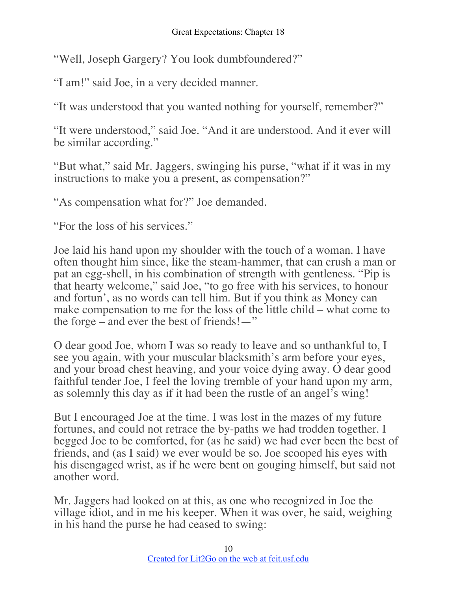"Well, Joseph Gargery? You look dumbfoundered?"

"I am!" said Joe, in a very decided manner.

"It was understood that you wanted nothing for yourself, remember?"

"It were understood," said Joe. "And it are understood. And it ever will be similar according."

"But what," said Mr. Jaggers, swinging his purse, "what if it was in my instructions to make you a present, as compensation?"

"As compensation what for?" Joe demanded.

"For the loss of his services."

Joe laid his hand upon my shoulder with the touch of a woman. I have often thought him since, like the steam-hammer, that can crush a man or pat an egg-shell, in his combination of strength with gentleness. "Pip is that hearty welcome," said Joe, "to go free with his services, to honour and fortun', as no words can tell him. But if you think as Money can make compensation to me for the loss of the little child – what come to the forge – and ever the best of friends!—"

O dear good Joe, whom I was so ready to leave and so unthankful to, I see you again, with your muscular blacksmith's arm before your eyes, and your broad chest heaving, and your voice dying away. O dear good faithful tender Joe, I feel the loving tremble of your hand upon my arm, as solemnly this day as if it had been the rustle of an angel's wing!

But I encouraged Joe at the time. I was lost in the mazes of my future fortunes, and could not retrace the by-paths we had trodden together. I begged Joe to be comforted, for (as he said) we had ever been the best of friends, and (as I said) we ever would be so. Joe scooped his eyes with his disengaged wrist, as if he were bent on gouging himself, but said not another word.

Mr. Jaggers had looked on at this, as one who recognized in Joe the village idiot, and in me his keeper. When it was over, he said, weighing in his hand the purse he had ceased to swing: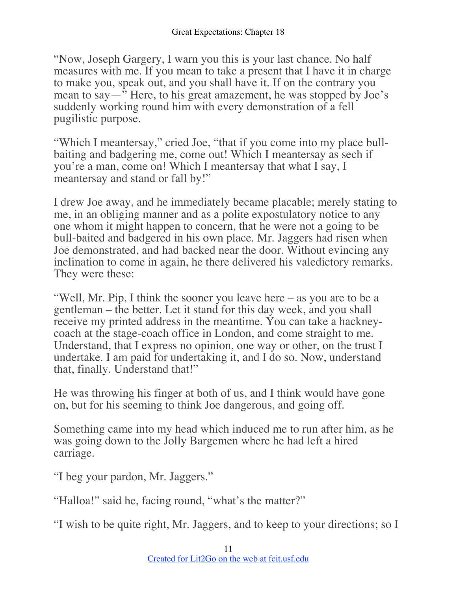"Now, Joseph Gargery, I warn you this is your last chance. No half measures with me. If you mean to take a present that I have it in charge to make you, speak out, and you shall have it. If on the contrary you mean to say—" Here, to his great amazement, he was stopped by Joe's suddenly working round him with every demonstration of a fell pugilistic purpose.

"Which I meantersay," cried Joe, "that if you come into my place bullbaiting and badgering me, come out! Which I meantersay as sech if you're a man, come on! Which I meantersay that what I say, I meantersay and stand or fall by!"

I drew Joe away, and he immediately became placable; merely stating to me, in an obliging manner and as a polite expostulatory notice to any one whom it might happen to concern, that he were not a going to be bull-baited and badgered in his own place. Mr. Jaggers had risen when Joe demonstrated, and had backed near the door. Without evincing any inclination to come in again, he there delivered his valedictory remarks. They were these:

"Well, Mr. Pip, I think the sooner you leave here – as you are to be a gentleman – the better. Let it stand for this day week, and you shall receive my printed address in the meantime. You can take a hackneycoach at the stage-coach office in London, and come straight to me. Understand, that I express no opinion, one way or other, on the trust I undertake. I am paid for undertaking it, and I do so. Now, understand that, finally. Understand that!"

He was throwing his finger at both of us, and I think would have gone on, but for his seeming to think Joe dangerous, and going off.

Something came into my head which induced me to run after him, as he was going down to the Jolly Bargemen where he had left a hired carriage.

"I beg your pardon, Mr. Jaggers."

"Halloa!" said he, facing round, "what's the matter?"

"I wish to be quite right, Mr. Jaggers, and to keep to your directions; so I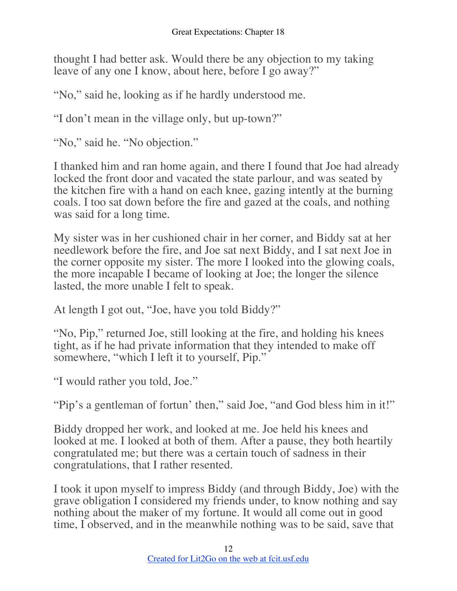thought I had better ask. Would there be any objection to my taking leave of any one I know, about here, before I go away?"

"No," said he, looking as if he hardly understood me.

"I don't mean in the village only, but up-town?"

"No," said he. "No objection."

I thanked him and ran home again, and there I found that Joe had already locked the front door and vacated the state parlour, and was seated by the kitchen fire with a hand on each knee, gazing intently at the burning coals. I too sat down before the fire and gazed at the coals, and nothing was said for a long time.

My sister was in her cushioned chair in her corner, and Biddy sat at her needlework before the fire, and Joe sat next Biddy, and I sat next Joe in the corner opposite my sister. The more I looked into the glowing coals, the more incapable I became of looking at Joe; the longer the silence lasted, the more unable I felt to speak.

At length I got out, "Joe, have you told Biddy?"

"No, Pip," returned Joe, still looking at the fire, and holding his knees tight, as if he had private information that they intended to make off somewhere, "which I left it to yourself, Pip."

"I would rather you told, Joe."

"Pip's a gentleman of fortun' then," said Joe, "and God bless him in it!"

Biddy dropped her work, and looked at me. Joe held his knees and looked at me. I looked at both of them. After a pause, they both heartily congratulated me; but there was a certain touch of sadness in their congratulations, that I rather resented.

I took it upon myself to impress Biddy (and through Biddy, Joe) with the grave obligation I considered my friends under, to know nothing and say nothing about the maker of my fortune. It would all come out in good time, I observed, and in the meanwhile nothing was to be said, save that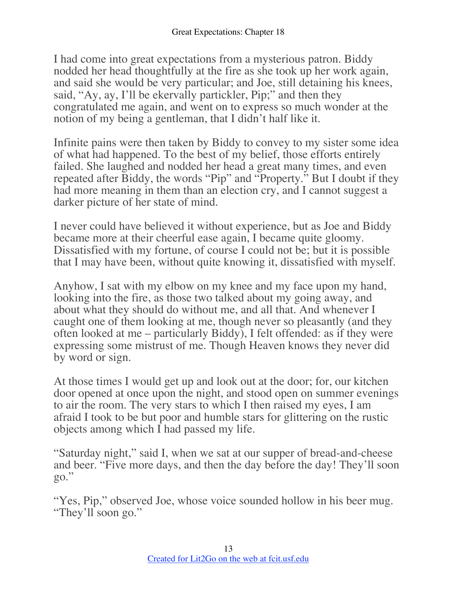I had come into great expectations from a mysterious patron. Biddy nodded her head thoughtfully at the fire as she took up her work again, and said she would be very particular; and Joe, still detaining his knees, said, "Ay, ay, I'll be ekervally partickler, Pip;" and then they congratulated me again, and went on to express so much wonder at the notion of my being a gentleman, that I didn't half like it.

Infinite pains were then taken by Biddy to convey to my sister some idea of what had happened. To the best of my belief, those efforts entirely failed. She laughed and nodded her head a great many times, and even repeated after Biddy, the words "Pip" and "Property." But I doubt if they had more meaning in them than an election cry, and I cannot suggest a darker picture of her state of mind.

I never could have believed it without experience, but as Joe and Biddy became more at their cheerful ease again, I became quite gloomy. Dissatisfied with my fortune, of course I could not be; but it is possible that I may have been, without quite knowing it, dissatisfied with myself.

Anyhow, I sat with my elbow on my knee and my face upon my hand, looking into the fire, as those two talked about my going away, and about what they should do without me, and all that. And whenever I caught one of them looking at me, though never so pleasantly (and they often looked at me – particularly Biddy), I felt offended: as if they were expressing some mistrust of me. Though Heaven knows they never did by word or sign.

At those times I would get up and look out at the door; for, our kitchen door opened at once upon the night, and stood open on summer evenings to air the room. The very stars to which I then raised my eyes, I am afraid I took to be but poor and humble stars for glittering on the rustic objects among which I had passed my life.

"Saturday night," said I, when we sat at our supper of bread-and-cheese and beer. "Five more days, and then the day before the day! They'll soon go."

"Yes, Pip," observed Joe, whose voice sounded hollow in his beer mug. "They'll soon go."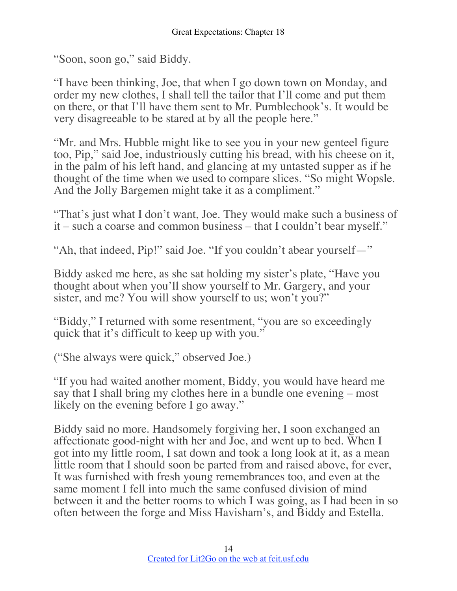"Soon, soon go," said Biddy.

"I have been thinking, Joe, that when I go down town on Monday, and order my new clothes, I shall tell the tailor that I'll come and put them on there, or that I'll have them sent to Mr. Pumblechook's. It would be very disagreeable to be stared at by all the people here."

"Mr. and Mrs. Hubble might like to see you in your new genteel figure too, Pip," said Joe, industriously cutting his bread, with his cheese on it, in the palm of his left hand, and glancing at my untasted supper as if he thought of the time when we used to compare slices. "So might Wopsle. And the Jolly Bargemen might take it as a compliment."

"That's just what I don't want, Joe. They would make such a business of it – such a coarse and common business – that I couldn't bear myself."

"Ah, that indeed, Pip!" said Joe. "If you couldn't abear yourself—"

Biddy asked me here, as she sat holding my sister's plate, "Have you thought about when you'll show yourself to Mr. Gargery, and your sister, and me? You will show yourself to us; won't you?"

"Biddy," I returned with some resentment, "you are so exceedingly quick that it's difficult to keep up with you."

("She always were quick," observed Joe.)

"If you had waited another moment, Biddy, you would have heard me say that I shall bring my clothes here in a bundle one evening – most likely on the evening before I go away."

Biddy said no more. Handsomely forgiving her, I soon exchanged an affectionate good-night with her and Joe, and went up to bed. When I got into my little room, I sat down and took a long look at it, as a mean little room that I should soon be parted from and raised above, for ever, It was furnished with fresh young remembrances too, and even at the same moment I fell into much the same confused division of mind between it and the better rooms to which I was going, as I had been in so often between the forge and Miss Havisham's, and Biddy and Estella.